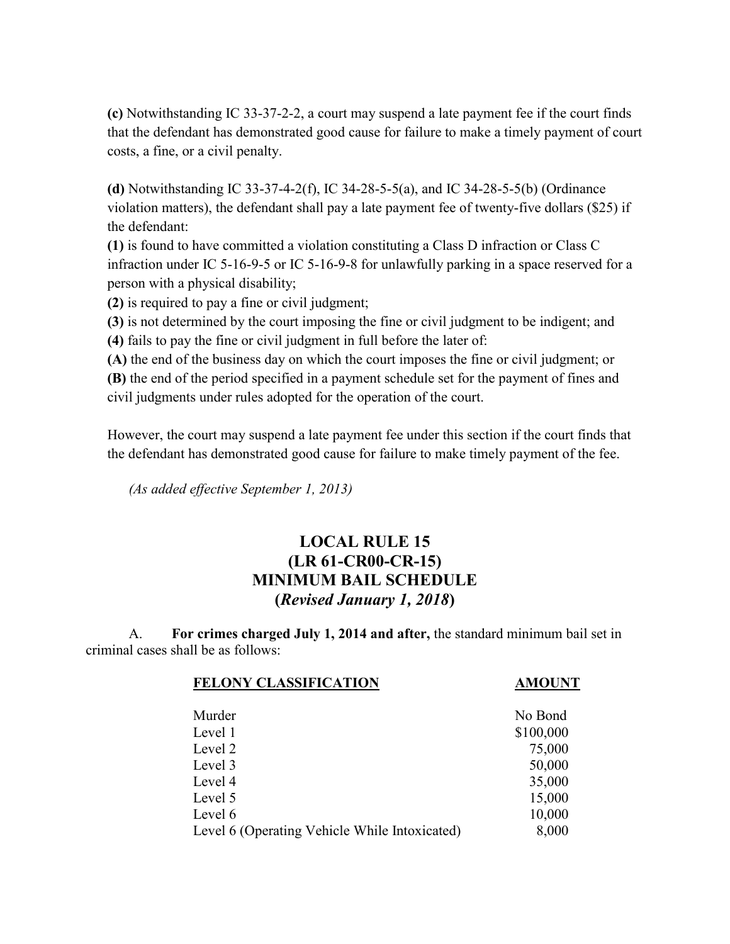**(c)** Notwithstanding [IC 33-37-2-2,](http://www.lexis.com/research/buttonTFLink?_m=ff24c0a4976a3dfcad99072dcd198e62&_xfercite=%3ccite%20cc%3d%22USA%22%3e%3c%21%5bCDATA%5bBurns%20Ind.%20Code%20Ann.%20%a7%2033-37-5-22%5d%5d%3e%3c%2fcite%3e&_butType=4&_butStat=0&_butNum=3&_butInline=1&_butinfo=INCODE%2033-37-2-2&_fmtstr=FULL&docnum=1&_startdoc=1&wchp=dGLzVzB-zSkAl&_md5=b32794785daff14503b9566ef91e86a0) a court may suspend a late payment fee if the court finds that the defendant has demonstrated good cause for failure to make a timely payment of court costs, a fine, or a civil penalty.

**(d)** Notwithstanding [IC 33-37-4-2\(f\),](http://www.lexis.com/research/buttonTFLink?_m=ff24c0a4976a3dfcad99072dcd198e62&_xfercite=%3ccite%20cc%3d%22USA%22%3e%3c%21%5bCDATA%5bBurns%20Ind.%20Code%20Ann.%20%a7%2033-37-5-22%5d%5d%3e%3c%2fcite%3e&_butType=4&_butStat=0&_butNum=5&_butInline=1&_butinfo=INCODE%2033-37-4-2&_fmtstr=FULL&docnum=1&_startdoc=1&wchp=dGLzVzB-zSkAl&_md5=292c1c6a5e2c51f4cf70fa37dbf143c9) [IC 34-28-5-5\(a\),](http://www.lexis.com/research/buttonTFLink?_m=ff24c0a4976a3dfcad99072dcd198e62&_xfercite=%3ccite%20cc%3d%22USA%22%3e%3c%21%5bCDATA%5bBurns%20Ind.%20Code%20Ann.%20%a7%2033-37-5-22%5d%5d%3e%3c%2fcite%3e&_butType=4&_butStat=0&_butNum=6&_butInline=1&_butinfo=INCODE%2034-28-5-5&_fmtstr=FULL&docnum=1&_startdoc=1&wchp=dGLzVzB-zSkAl&_md5=a39c01ee9c34b7a336ae8cd031b43103) and [IC 34-28-5-5\(b\)](http://www.lexis.com/research/buttonTFLink?_m=ff24c0a4976a3dfcad99072dcd198e62&_xfercite=%3ccite%20cc%3d%22USA%22%3e%3c%21%5bCDATA%5bBurns%20Ind.%20Code%20Ann.%20%a7%2033-37-5-22%5d%5d%3e%3c%2fcite%3e&_butType=4&_butStat=0&_butNum=7&_butInline=1&_butinfo=INCODE%2034-28-5-5&_fmtstr=FULL&docnum=1&_startdoc=1&wchp=dGLzVzB-zSkAl&_md5=af1070e742db27c4cc62f27dfae1014a) (Ordinance violation matters), the defendant shall pay a late payment fee of twenty-five dollars (\$25) if the defendant:

**(1)** is found to have committed a violation constituting a Class D infraction or Class C infraction under [IC 5-16-9-5](http://www.lexis.com/research/buttonTFLink?_m=ff24c0a4976a3dfcad99072dcd198e62&_xfercite=%3ccite%20cc%3d%22USA%22%3e%3c%21%5bCDATA%5bBurns%20Ind.%20Code%20Ann.%20%a7%2033-37-5-22%5d%5d%3e%3c%2fcite%3e&_butType=4&_butStat=0&_butNum=8&_butInline=1&_butinfo=INCODE%205-16-9-5&_fmtstr=FULL&docnum=1&_startdoc=1&wchp=dGLzVzB-zSkAl&_md5=9ceb0783e910a729c4a8f8d5b8a146f3) or [IC 5-16-9-8](http://www.lexis.com/research/buttonTFLink?_m=ff24c0a4976a3dfcad99072dcd198e62&_xfercite=%3ccite%20cc%3d%22USA%22%3e%3c%21%5bCDATA%5bBurns%20Ind.%20Code%20Ann.%20%a7%2033-37-5-22%5d%5d%3e%3c%2fcite%3e&_butType=4&_butStat=0&_butNum=9&_butInline=1&_butinfo=INCODE%205-16-9-8&_fmtstr=FULL&docnum=1&_startdoc=1&wchp=dGLzVzB-zSkAl&_md5=669d1a24f3965d4611bcc2215455f70d) for unlawfully parking in a space reserved for a person with a physical disability;

**(2)** is required to pay a fine or civil judgment;

**(3)** is not determined by the court imposing the fine or civil judgment to be indigent; and **(4)** fails to pay the fine or civil judgment in full before the later of:

**(A)** the end of the business day on which the court imposes the fine or civil judgment; or **(B)** the end of the period specified in a payment schedule set for the payment of fines and civil judgments under rules adopted for the operation of the court.

However, the court may suspend a late payment fee under this section if the court finds that the defendant has demonstrated good cause for failure to make timely payment of the fee.

*(As added effective September 1, 2013)*

## **LOCAL RULE 15 (LR 61-CR00-CR-15) MINIMUM BAIL SCHEDULE (***Revised January 1, 2018***)**

A. **For crimes charged July 1, 2014 and after,** the standard minimum bail set in criminal cases shall be as follows:

| <b>FELONY CLASSIFICATION</b>                  | <b>AMOUNT</b> |
|-----------------------------------------------|---------------|
| Murder                                        | No Bond       |
| Level 1                                       | \$100,000     |
| Level 2                                       | 75,000        |
| Level 3                                       | 50,000        |
| Level 4                                       | 35,000        |
| Level 5                                       | 15,000        |
| Level 6                                       | 10,000        |
| Level 6 (Operating Vehicle While Intoxicated) | 8,000         |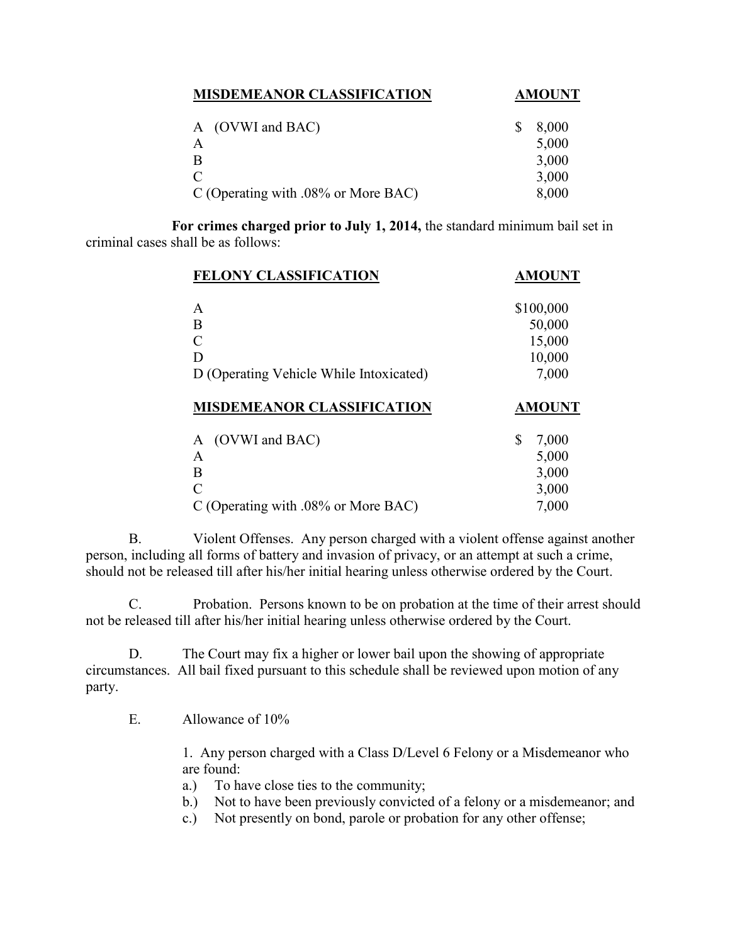| <b>MISDEMEANOR CLASSIFICATION</b>      | <b>AMOUNT</b> |
|----------------------------------------|---------------|
| A (OVWI and BAC)                       | 8,000         |
| A                                      | 5,000         |
| B                                      | 3,000         |
| $\mathcal{C}_{\mathcal{C}}$            | 3,000         |
| C (Operating with $.08\%$ or More BAC) | 8,000         |

**For crimes charged prior to July 1, 2014,** the standard minimum bail set in criminal cases shall be as follows:

| <b>FELONY CLASSIFICATION</b>                | <b>AMOUNT</b>  |
|---------------------------------------------|----------------|
| A                                           | \$100,000      |
| B                                           | 50,000         |
| $\overline{C}$                              | 15,000         |
| D                                           | 10,000         |
| D (Operating Vehicle While Intoxicated)     | 7,000          |
|                                             |                |
| <b>MISDEMEANOR CLASSIFICATION</b>           | <b>AMOUNT</b>  |
| (OVWI and BAC)<br>A                         | \$<br>7,000    |
| A                                           | 5,000          |
| B                                           | 3,000          |
| C<br>C (Operating with $.08\%$ or More BAC) | 3,000<br>7,000 |

B. Violent Offenses. Any person charged with a violent offense against another person, including all forms of battery and invasion of privacy, or an attempt at such a crime, should not be released till after his/her initial hearing unless otherwise ordered by the Court.

C. Probation. Persons known to be on probation at the time of their arrest should not be released till after his/her initial hearing unless otherwise ordered by the Court.

D. The Court may fix a higher or lower bail upon the showing of appropriate circumstances. All bail fixed pursuant to this schedule shall be reviewed upon motion of any party.

E. Allowance of 10%

1. Any person charged with a Class D/Level 6 Felony or a Misdemeanor who are found:

- a.) To have close ties to the community;
- b.) Not to have been previously convicted of a felony or a misdemeanor; and
- c.) Not presently on bond, parole or probation for any other offense;